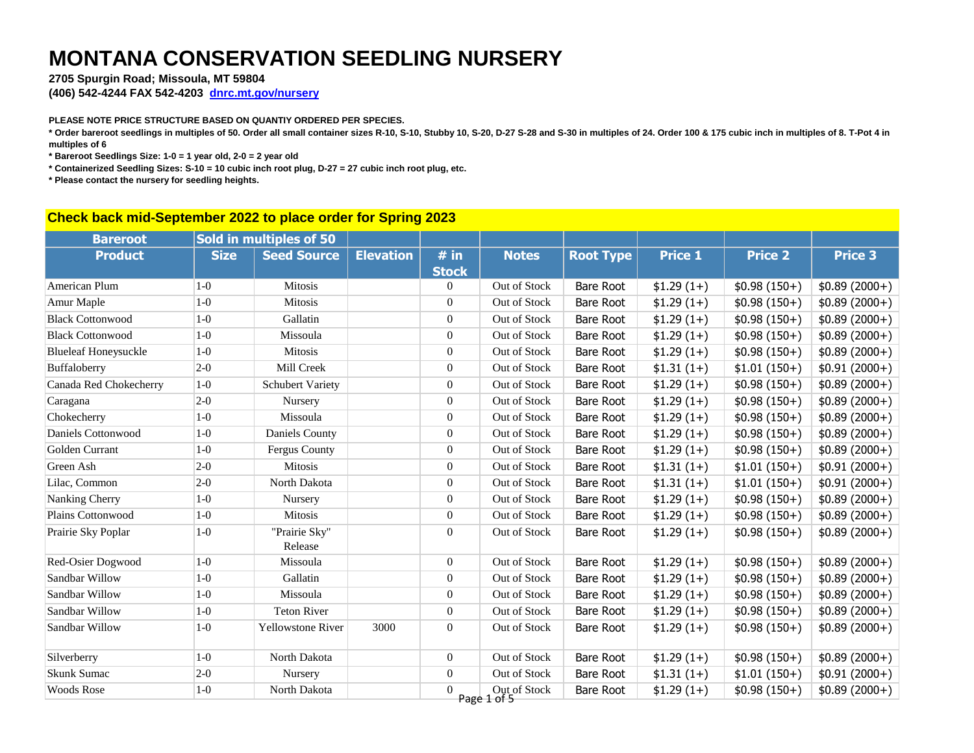## **[MONTANA CO](http://www.dnrc.mt.gov/divisions/forestry/forestry-assistance/conservation-seedling-nursery)NSERVATION SEEDLING NURSERY**

**[2705 Spurgin Road; Missou](http://www.dnrc.mt.gov/divisions/forestry/forestry-assistance/conservation-seedling-nursery)la, MT 59804**

**[\(406\) 542-4244 FAX 542-4203 d](http://www.dnrc.mt.gov/divisions/forestry/forestry-assistance/conservation-seedling-nursery)nrc.mt.gov/nursery**

**[PLEASE NOTE PRICE STRUCTUR](http://www.dnrc.mt.gov/divisions/forestry/forestry-assistance/conservation-seedling-nursery)E BASED ON QUANTIY ORDERED PER SPECIES.**

**[\\* Order bareroot seedlings in mult](http://www.dnrc.mt.gov/divisions/forestry/forestry-assistance/conservation-seedling-nursery)iples of 50. Order all small container sizes R-10, S-10, Stubby 10, S-20, D-27 S-28 and S-30 in multiples of 24. Order 100 & 175 cubic inch in multiples of 8. T-Pot 4 in [multiples of 6](http://www.dnrc.mt.gov/divisions/forestry/forestry-assistance/conservation-seedling-nursery)**

**[\\* Bareroot Seedlings Size: 1-0 = 1](http://www.dnrc.mt.gov/divisions/forestry/forestry-assistance/conservation-seedling-nursery) year old, 2-0 = 2 year old**

**[\\* Containerized Seedling Sizes: S-](http://www.dnrc.mt.gov/divisions/forestry/forestry-assistance/conservation-seedling-nursery)10 = 10 cubic inch root plug, D-27 = 27 cubic inch root plug, etc.**

**[\\* Please contact the nursery for se](http://www.dnrc.mt.gov/divisions/forestry/forestry-assistance/conservation-seedling-nursery)edling heights.**

## **Check back mid-September 2022 to place order for Spring 2023**

| <b>Bareroot</b>             |             | Sold in multiples of 50  |                  |                      |                            |                  |             |                |                |
|-----------------------------|-------------|--------------------------|------------------|----------------------|----------------------------|------------------|-------------|----------------|----------------|
| <b>Product</b>              | <b>Size</b> | <b>Seed Source</b>       | <b>Elevation</b> | # in<br><b>Stock</b> | <b>Notes</b>               | <b>Root Type</b> | Price 1     | <b>Price 2</b> | <b>Price 3</b> |
| <b>American Plum</b>        | $1-0$       | <b>Mitosis</b>           |                  | $\theta$             | Out of Stock               | Bare Root        | $$1.29(1+)$ | $$0.98(150+)$  | $$0.89(2000+)$ |
| Amur Maple                  | $1-0$       | Mitosis                  |                  | $\boldsymbol{0}$     | Out of Stock               | <b>Bare Root</b> | $$1.29(1+)$ | $$0.98(150+)$  | $$0.89(2000+)$ |
| <b>Black Cottonwood</b>     | $1-0$       | Gallatin                 |                  | $\boldsymbol{0}$     | Out of Stock               | <b>Bare Root</b> | $$1.29(1+)$ | $$0.98(150+)$  | $$0.89(2000+)$ |
| <b>Black Cottonwood</b>     | $1-0$       | Missoula                 |                  | $\mathbf{0}$         | Out of Stock               | <b>Bare Root</b> | $$1.29(1+)$ | $$0.98(150+)$  | $$0.89(2000+)$ |
| <b>Blueleaf Honeysuckle</b> | $1-0$       | Mitosis                  |                  | $\mathbf{0}$         | Out of Stock               | <b>Bare Root</b> | $$1.29(1+)$ | $$0.98(150+)$  | $$0.89(2000+)$ |
| Buffaloberry                | $ 2-0 $     | Mill Creek               |                  | $\boldsymbol{0}$     | Out of Stock               | <b>Bare Root</b> | $$1.31(1+)$ | $$1.01(150+)$  | $$0.91(2000+)$ |
| Canada Red Chokecherry      | $1-0$       | <b>Schubert Variety</b>  |                  | $\overline{0}$       | Out of Stock               | Bare Root        | $$1.29(1+)$ | $$0.98(150+)$  | $$0.89(2000+)$ |
| Caragana                    | $ 2-0 $     | Nursery                  |                  | $\mathbf{0}$         | Out of Stock               | Bare Root        | $$1.29(1+)$ | $$0.98(150+)$  | $$0.89(2000+)$ |
| Chokecherry                 | $1-0$       | Missoula                 |                  | $\boldsymbol{0}$     | Out of Stock               | Bare Root        | $$1.29(1+)$ | $$0.98(150+)$  | $$0.89(2000+)$ |
| Daniels Cottonwood          | $1-0$       | <b>Daniels County</b>    |                  | $\boldsymbol{0}$     | Out of Stock               | Bare Root        | $$1.29(1+)$ | $$0.98(150+)$  | $$0.89(2000+)$ |
| Golden Currant              | $1-0$       | <b>Fergus County</b>     |                  | $\boldsymbol{0}$     | Out of Stock               | <b>Bare Root</b> | $$1.29(1+)$ | $$0.98(150+)$  | $$0.89(2000+)$ |
| Green Ash                   | $ 2-0 $     | <b>Mitosis</b>           |                  | $\boldsymbol{0}$     | Out of Stock               | Bare Root        | $$1.31(1+)$ | $$1.01(150+)$  | $$0.91(2000+)$ |
| Lilac, Common               | $ 2-0 $     | North Dakota             |                  | $\overline{0}$       | Out of Stock               | <b>Bare Root</b> | $$1.31(1+)$ | $$1.01(150+)$  | $$0.91(2000+)$ |
| Nanking Cherry              | $1-0$       | Nursery                  |                  | $\mathbf{0}$         | Out of Stock               | Bare Root        | $$1.29(1+)$ | $$0.98(150+)$  | $$0.89(2000+)$ |
| Plains Cottonwood           | $1-0$       | Mitosis                  |                  | $\boldsymbol{0}$     | Out of Stock               | <b>Bare Root</b> | $$1.29(1+)$ | $$0.98(150+)$  | $$0.89(2000+)$ |
| Prairie Sky Poplar          | $1-0$       | "Prairie Sky"<br>Release |                  | $\mathbf{0}$         | Out of Stock               | Bare Root        | $$1.29(1+)$ | $$0.98(150+)$  | $$0.89(2000+)$ |
| Red-Osier Dogwood           | $1-0$       | Missoula                 |                  | $\boldsymbol{0}$     | Out of Stock               | <b>Bare Root</b> | $$1.29(1+)$ | $$0.98(150+)$  | $$0.89(2000+)$ |
| Sandbar Willow              | $1-0$       | Gallatin                 |                  | $\mathbf{0}$         | Out of Stock               | <b>Bare Root</b> | $$1.29(1+)$ | $$0.98(150+)$  | $$0.89(2000+)$ |
| Sandbar Willow              | $1-0$       | Missoula                 |                  | $\mathbf{0}$         | Out of Stock               | <b>Bare Root</b> | $$1.29(1+)$ | $$0.98(150+)$  | $$0.89(2000+)$ |
| Sandbar Willow              | $1-0$       | <b>Teton River</b>       |                  | $\boldsymbol{0}$     | Out of Stock               | Bare Root        | $$1.29(1+)$ | $$0.98(150+)$  | $$0.89(2000+)$ |
| Sandbar Willow              | $1-0$       | <b>Yellowstone River</b> | 3000             | $\Omega$             | Out of Stock               | Bare Root        | $$1.29(1+)$ | $$0.98(150+)$  | $$0.89(2000+)$ |
| Silverberry                 | $1-0$       | North Dakota             |                  | $\mathbf{0}$         | Out of Stock               | <b>Bare Root</b> | $$1.29(1+)$ | $$0.98(150+)$  | $$0.89(2000+)$ |
| Skunk Sumac                 | $ 2-0 $     | Nursery                  |                  | $\boldsymbol{0}$     | Out of Stock               | Bare Root        | $$1.31(1+)$ | $$1.01(150+)$  | $$0.91(2000+)$ |
| <b>Woods Rose</b>           | $1-0$       | North Dakota             |                  | $\Omega$             | Page 1 of 5<br>Page 1 of 5 | Bare Root        | $$1.29(1+)$ | $$0.98(150+)$  | $$0.89(2000+)$ |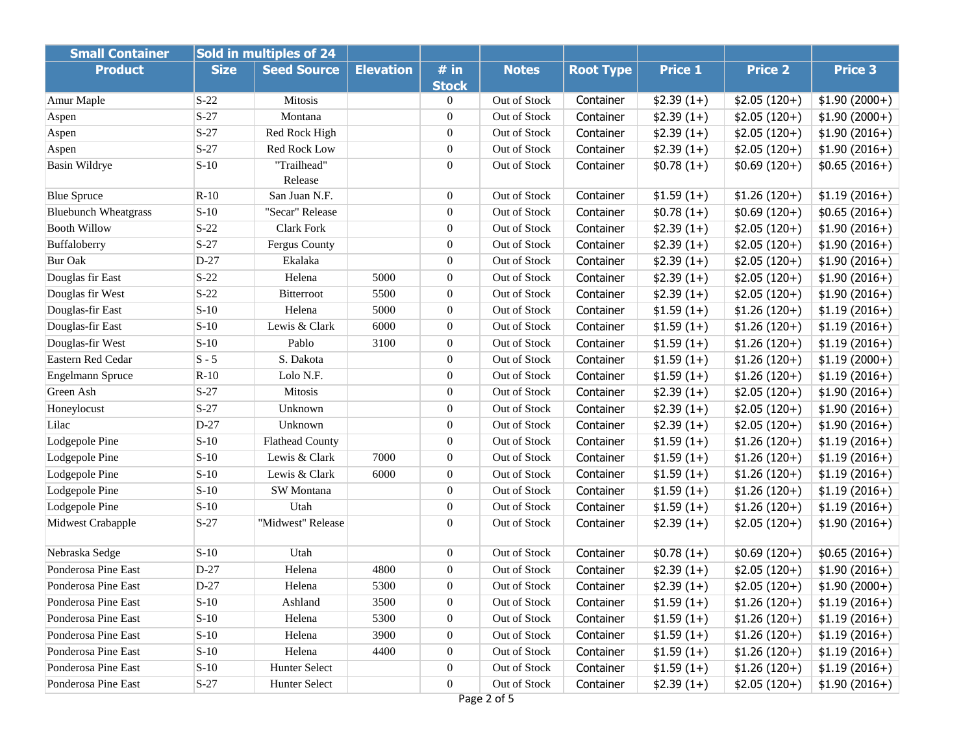| <b>Small Container</b>      |             | Sold in multiples of 24 |                  |                  |              |                  |             |                |                |
|-----------------------------|-------------|-------------------------|------------------|------------------|--------------|------------------|-------------|----------------|----------------|
| <b>Product</b>              | <b>Size</b> | <b>Seed Source</b>      | <b>Elevation</b> | # in             | <b>Notes</b> | <b>Root Type</b> | Price 1     | <b>Price 2</b> | <b>Price 3</b> |
|                             |             |                         |                  | <b>Stock</b>     |              |                  |             |                |                |
| Amur Maple                  | $S-22$      | Mitosis                 |                  | $\boldsymbol{0}$ | Out of Stock | Container        | $$2.39(1+)$ | $$2.05(120+)$  | $$1.90(2000+)$ |
| Aspen                       | $S-27$      | Montana                 |                  | $\boldsymbol{0}$ | Out of Stock | Container        | $$2.39(1+)$ | $$2.05(120+)$  | $$1.90(2000+)$ |
| Aspen                       | $S-27$      | Red Rock High           |                  | $\boldsymbol{0}$ | Out of Stock | Container        | $$2.39(1+)$ | $$2.05(120+)$  | $$1.90(2016+)$ |
| Aspen                       | $S-27$      | Red Rock Low            |                  | $\boldsymbol{0}$ | Out of Stock | Container        | $$2.39(1+)$ | $$2.05(120+)$  | $$1.90(2016+)$ |
| <b>Basin Wildrye</b>        | $S-10$      | "Trailhead"<br>Release  |                  | $\boldsymbol{0}$ | Out of Stock | Container        | $$0.78(1+)$ | $$0.69(120+)$  | $$0.65(2016+)$ |
| <b>Blue Spruce</b>          | $R-10$      | San Juan N.F.           |                  | $\boldsymbol{0}$ | Out of Stock | Container        | $$1.59(1+)$ | $$1.26(120+)$  | $$1.19(2016+)$ |
| <b>Bluebunch Wheatgrass</b> | $S-10$      | "Secar" Release         |                  | $\boldsymbol{0}$ | Out of Stock | Container        | $$0.78(1+)$ | $$0.69(120+)$  | $$0.65(2016+)$ |
| <b>Booth Willow</b>         | $S-22$      | Clark Fork              |                  | $\boldsymbol{0}$ | Out of Stock | Container        | $$2.39(1+)$ | $$2.05(120+)$  | $$1.90(2016+)$ |
| Buffaloberry                | $S-27$      | <b>Fergus County</b>    |                  | $\boldsymbol{0}$ | Out of Stock | Container        | $$2.39(1+)$ | $$2.05(120+)$  | $$1.90(2016+)$ |
| <b>Bur Oak</b>              | $D-27$      | Ekalaka                 |                  | $\boldsymbol{0}$ | Out of Stock | Container        | $$2.39(1+)$ | $$2.05(120+)$  | $$1.90(2016+)$ |
| Douglas fir East            | $S-22$      | Helena                  | 5000             | $\boldsymbol{0}$ | Out of Stock | Container        | $$2.39(1+)$ | $$2.05(120+)$  | $$1.90(2016+)$ |
| Douglas fir West            | $S-22$      | Bitterroot              | 5500             | $\boldsymbol{0}$ | Out of Stock | Container        | $$2.39(1+)$ | $$2.05(120+)$  | $$1.90(2016+)$ |
| Douglas-fir East            | $S-10$      | Helena                  | 5000             | $\boldsymbol{0}$ | Out of Stock | Container        | $$1.59(1+)$ | $$1.26(120+)$  | $$1.19(2016+)$ |
| Douglas-fir East            | $S-10$      | Lewis & Clark           | 6000             | $\boldsymbol{0}$ | Out of Stock | Container        | $$1.59(1+)$ | $$1.26(120+)$  | $$1.19(2016+)$ |
| Douglas-fir West            | $S-10$      | Pablo                   | 3100             | $\boldsymbol{0}$ | Out of Stock | Container        | $$1.59(1+)$ | $$1.26(120+)$  | $$1.19(2016+)$ |
| Eastern Red Cedar           | $S - 5$     | S. Dakota               |                  | $\boldsymbol{0}$ | Out of Stock | Container        | $$1.59(1+)$ | $$1.26(120+)$  | $$1.19(2000+)$ |
| <b>Engelmann Spruce</b>     | $R-10$      | Lolo N.F.               |                  | $\boldsymbol{0}$ | Out of Stock | Container        | $$1.59(1+)$ | $$1.26(120+)$  | $$1.19(2016+)$ |
| Green Ash                   | $S-27$      | Mitosis                 |                  | $\boldsymbol{0}$ | Out of Stock | Container        | $$2.39(1+)$ | $$2.05(120+)$  | $$1.90(2016+)$ |
| Honeylocust                 | $S-27$      | Unknown                 |                  | $\boldsymbol{0}$ | Out of Stock | Container        | $$2.39(1+)$ | $$2.05(120+)$  | $$1.90(2016+)$ |
| Lilac                       | $D-27$      | Unknown                 |                  | $\boldsymbol{0}$ | Out of Stock | Container        | $$2.39(1+)$ | $$2.05(120+)$  | $$1.90(2016+)$ |
| Lodgepole Pine              | $S-10$      | <b>Flathead County</b>  |                  | $\boldsymbol{0}$ | Out of Stock | Container        | $$1.59(1+)$ | $$1.26(120+)$  | $$1.19(2016+)$ |
| Lodgepole Pine              | $S-10$      | Lewis & Clark           | 7000             | $\boldsymbol{0}$ | Out of Stock | Container        | $$1.59(1+)$ | $$1.26(120+)$  | $$1.19(2016+)$ |
| Lodgepole Pine              | $S-10$      | Lewis & Clark           | 6000             | $\boldsymbol{0}$ | Out of Stock | Container        | $$1.59(1+)$ | $$1.26(120+)$  | $$1.19(2016+)$ |
| Lodgepole Pine              | $S-10$      | SW Montana              |                  | $\boldsymbol{0}$ | Out of Stock | Container        | $$1.59(1+)$ | $$1.26(120+)$  | $$1.19(2016+)$ |
| Lodgepole Pine              | $S-10$      | Utah                    |                  | $\boldsymbol{0}$ | Out of Stock | Container        | $$1.59(1+)$ | $$1.26(120+)$  | $$1.19(2016+)$ |
| Midwest Crabapple           | $S-27$      | "Midwest" Release       |                  | $\boldsymbol{0}$ | Out of Stock | Container        | $$2.39(1+)$ | $$2.05(120+)$  | $$1.90(2016+)$ |
| Nebraska Sedge              | $S-10$      | Utah                    |                  | $\boldsymbol{0}$ | Out of Stock | Container        | $$0.78(1+)$ | $$0.69(120+)$  | $$0.65(2016+)$ |
| Ponderosa Pine East         | $D-27$      | Helena                  | 4800             | $\boldsymbol{0}$ | Out of Stock | Container        | $$2.39(1+)$ | $$2.05(120+)$  | $$1.90(2016+)$ |
| Ponderosa Pine East         | $D-27$      | Helena                  | 5300             | $\boldsymbol{0}$ | Out of Stock | Container        | $$2.39(1+)$ | $$2.05(120+)$  | $$1.90(2000+)$ |
| Ponderosa Pine East         | $S-10$      | Ashland                 | 3500             | $\boldsymbol{0}$ | Out of Stock | Container        | $$1.59(1+)$ | $$1.26(120+)$  | $$1.19(2016+)$ |
| Ponderosa Pine East         | $S-10$      | Helena                  | 5300             | $\boldsymbol{0}$ | Out of Stock | Container        | $$1.59(1+)$ | $$1.26(120+)$  | $$1.19(2016+)$ |
| Ponderosa Pine East         | $S-10$      | Helena                  | 3900             | $\boldsymbol{0}$ | Out of Stock | Container        | $$1.59(1+)$ | $$1.26(120+)$  | $$1.19(2016+)$ |
| Ponderosa Pine East         | $S-10$      | Helena                  | 4400             | $\boldsymbol{0}$ | Out of Stock | Container        | $$1.59(1+)$ | $$1.26(120+)$  | $$1.19(2016+)$ |
| Ponderosa Pine East         | $S-10$      | Hunter Select           |                  | $\boldsymbol{0}$ | Out of Stock | Container        | $$1.59(1+)$ | $$1.26(120+)$  | $$1.19(2016+)$ |
| Ponderosa Pine East         | $S-27$      | Hunter Select           |                  | $\boldsymbol{0}$ | Out of Stock | Container        | $$2.39(1+)$ | $$2.05(120+)$  | $$1.90(2016+)$ |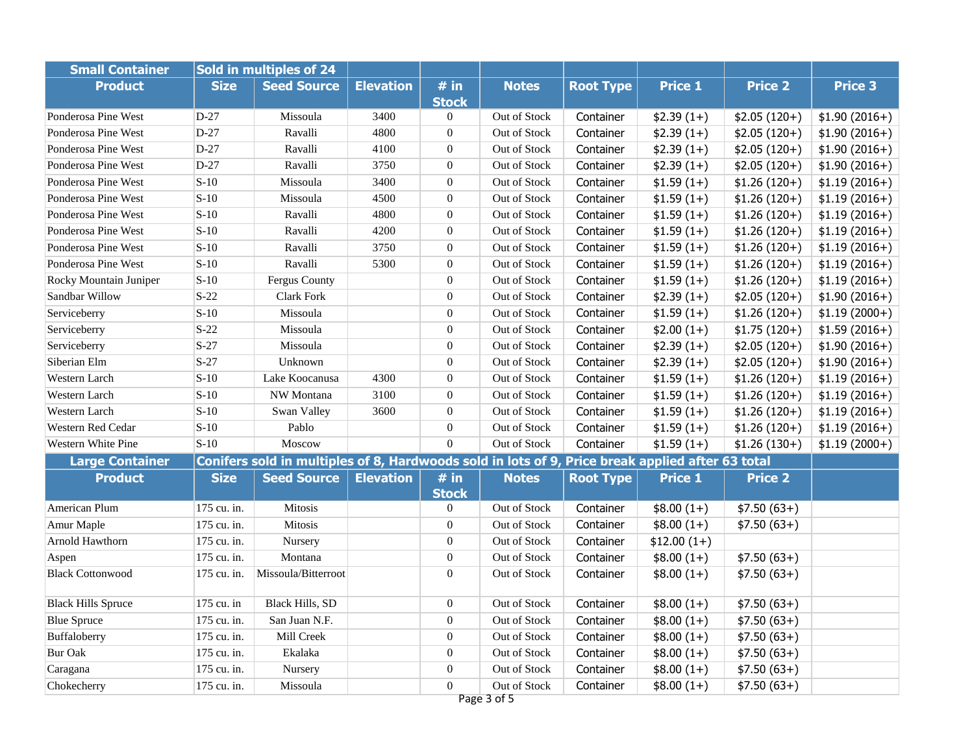| <b>Small Container</b>    |             | Sold in multiples of 24                                                                          |                  |                  |              |                  |              |                |                |
|---------------------------|-------------|--------------------------------------------------------------------------------------------------|------------------|------------------|--------------|------------------|--------------|----------------|----------------|
| <b>Product</b>            | <b>Size</b> | <b>Seed Source</b>                                                                               | <b>Elevation</b> | # in             | <b>Notes</b> | <b>Root Type</b> | Price 1      | <b>Price 2</b> | <b>Price 3</b> |
|                           |             |                                                                                                  |                  | <b>Stock</b>     |              |                  |              |                |                |
| Ponderosa Pine West       | $D-27$      | Missoula                                                                                         | 3400             | $\boldsymbol{0}$ | Out of Stock | Container        | $$2.39(1+)$  | $$2.05(120+)$  | $$1.90(2016+)$ |
| Ponderosa Pine West       | $D-27$      | Ravalli                                                                                          | 4800             | $\boldsymbol{0}$ | Out of Stock | Container        | $$2.39(1+)$  | $$2.05(120+)$  | $$1.90(2016+)$ |
| Ponderosa Pine West       | $D-27$      | Ravalli                                                                                          | 4100             | $\boldsymbol{0}$ | Out of Stock | Container        | $$2.39(1+)$  | $$2.05(120+)$  | $$1.90(2016+)$ |
| Ponderosa Pine West       | $D-27$      | Ravalli                                                                                          | 3750             | $\overline{0}$   | Out of Stock | Container        | $$2.39(1+)$  | $$2.05(120+)$  | $$1.90(2016+)$ |
| Ponderosa Pine West       | $S-10$      | Missoula                                                                                         | 3400             | $\boldsymbol{0}$ | Out of Stock | Container        | $$1.59(1+)$  | $$1.26(120+)$  | $$1.19(2016+)$ |
| Ponderosa Pine West       | $S-10$      | Missoula                                                                                         | 4500             | $\mathbf{0}$     | Out of Stock | Container        | $$1.59(1+)$  | $$1.26(120+)$  | $$1.19(2016+)$ |
| Ponderosa Pine West       | $S-10$      | Ravalli                                                                                          | 4800             | $\boldsymbol{0}$ | Out of Stock | Container        | $$1.59(1+)$  | $$1.26(120+)$  | $$1.19(2016+)$ |
| Ponderosa Pine West       | $S-10$      | Ravalli                                                                                          | 4200             | $\boldsymbol{0}$ | Out of Stock | Container        | $$1.59(1+)$  | $$1.26(120+)$  | $$1.19(2016+)$ |
| Ponderosa Pine West       | $S-10$      | Ravalli                                                                                          | 3750             | $\mathbf{0}$     | Out of Stock | Container        | $$1.59(1+)$  | $$1.26(120+)$  | $$1.19(2016+)$ |
| Ponderosa Pine West       | $S-10$      | Ravalli                                                                                          | 5300             | $\boldsymbol{0}$ | Out of Stock | Container        | $$1.59(1+)$  | $$1.26(120+)$  | $$1.19(2016+)$ |
| Rocky Mountain Juniper    | $S-10$      | <b>Fergus County</b>                                                                             |                  | $\boldsymbol{0}$ | Out of Stock | Container        | $$1.59(1+)$  | $$1.26(120+)$  | $$1.19(2016+)$ |
| Sandbar Willow            | $S-22$      | Clark Fork                                                                                       |                  | $\boldsymbol{0}$ | Out of Stock | Container        | $$2.39(1+)$  | $$2.05(120+)$  | $$1.90(2016+)$ |
| Serviceberry              | $S-10$      | Missoula                                                                                         |                  | $\boldsymbol{0}$ | Out of Stock | Container        | $$1.59(1+)$  | $$1.26(120+)$  | $$1.19(2000+)$ |
| Serviceberry              | $S-22$      | Missoula                                                                                         |                  | $\boldsymbol{0}$ | Out of Stock | Container        | $$2.00(1+)$  | $$1.75(120+)$  | $$1.59(2016+)$ |
| Serviceberry              | $S-27$      | Missoula                                                                                         |                  | $\mathbf{0}$     | Out of Stock | Container        | $$2.39(1+)$  | $$2.05(120+)$  | $$1.90(2016+)$ |
| Siberian Elm              | $S-27$      | Unknown                                                                                          |                  | $\boldsymbol{0}$ | Out of Stock | Container        | $$2.39(1+)$  | $$2.05(120+)$  | $$1.90(2016+)$ |
| Western Larch             | $S-10$      | Lake Koocanusa                                                                                   | 4300             | $\mathbf{0}$     | Out of Stock | Container        | $$1.59(1+)$  | $$1.26(120+)$  | $$1.19(2016+)$ |
| Western Larch             | $S-10$      | NW Montana                                                                                       | 3100             | $\boldsymbol{0}$ | Out of Stock | Container        | $$1.59(1+)$  | $$1.26(120+)$  | $$1.19(2016+)$ |
| Western Larch             | $S-10$      | Swan Valley                                                                                      | 3600             | $\boldsymbol{0}$ | Out of Stock | Container        | $$1.59(1+)$  | $$1.26(120+)$  | $$1.19(2016+)$ |
| Western Red Cedar         | $S-10$      | Pablo                                                                                            |                  | $\boldsymbol{0}$ | Out of Stock | Container        | $$1.59(1+)$  | $$1.26(120+)$  | $$1.19(2016+)$ |
| Western White Pine        | $S-10$      | Moscow                                                                                           |                  | $\overline{0}$   | Out of Stock | Container        | $$1.59(1+)$  | $$1.26(130+)$  | $$1.19(2000+)$ |
| <b>Large Container</b>    |             | Conifers sold in multiples of 8, Hardwoods sold in lots of 9, Price break applied after 63 total |                  |                  |              |                  |              |                |                |
| <b>Product</b>            | <b>Size</b> | <b>Seed Source</b>                                                                               | <b>Elevation</b> | # in             | <b>Notes</b> | <b>Root Type</b> | Price 1      | <b>Price 2</b> |                |
|                           |             |                                                                                                  |                  | <b>Stock</b>     |              |                  |              |                |                |
| American Plum             | 175 cu. in. | Mitosis                                                                                          |                  | $\boldsymbol{0}$ | Out of Stock | Container        | $$8.00(1+)$  | $$7.50(63+)$   |                |
| Amur Maple                | 175 cu. in. | Mitosis                                                                                          |                  | $\overline{0}$   | Out of Stock | Container        | $$8.00(1+)$  | $$7.50(63+)$   |                |
| Arnold Hawthorn           | 175 cu. in. | Nursery                                                                                          |                  | $\boldsymbol{0}$ | Out of Stock | Container        | $$12.00(1+)$ |                |                |
| Aspen                     | 175 cu. in. | Montana                                                                                          |                  | $\boldsymbol{0}$ | Out of Stock | Container        | $$8.00(1+)$  | $$7.50(63+)$   |                |
| <b>Black Cottonwood</b>   | 175 cu. in. | Missoula/Bitterroot                                                                              |                  | $\overline{0}$   | Out of Stock | Container        | $$8.00(1+)$  | $$7.50(63+)$   |                |
| <b>Black Hills Spruce</b> | 175 cu. in  | <b>Black Hills, SD</b>                                                                           |                  | $\boldsymbol{0}$ | Out of Stock | Container        | $$8.00(1+)$  | $$7.50(63+)$   |                |
| <b>Blue Spruce</b>        | 175 cu. in. | San Juan N.F.                                                                                    |                  | $\boldsymbol{0}$ | Out of Stock | Container        | $$8.00(1+)$  | $$7.50(63+)$   |                |
| Buffaloberry              | 175 cu. in. | Mill Creek                                                                                       |                  | $\boldsymbol{0}$ | Out of Stock | Container        | $$8.00(1+)$  | $$7.50(63+)$   |                |
| <b>Bur Oak</b>            | 175 cu. in. | Ekalaka                                                                                          |                  | $\boldsymbol{0}$ | Out of Stock | Container        | $$8.00(1+)$  | $$7.50(63+)$   |                |
| Caragana                  | 175 cu. in. | Nursery                                                                                          |                  | $\boldsymbol{0}$ | Out of Stock | Container        | $$8.00(1+)$  | $$7.50(63+)$   |                |
| Chokecherry               | 175 cu. in. | Missoula                                                                                         |                  | $\overline{0}$   | Out of Stock | Container        | $$8.00(1+)$  | $$7.50(63+)$   |                |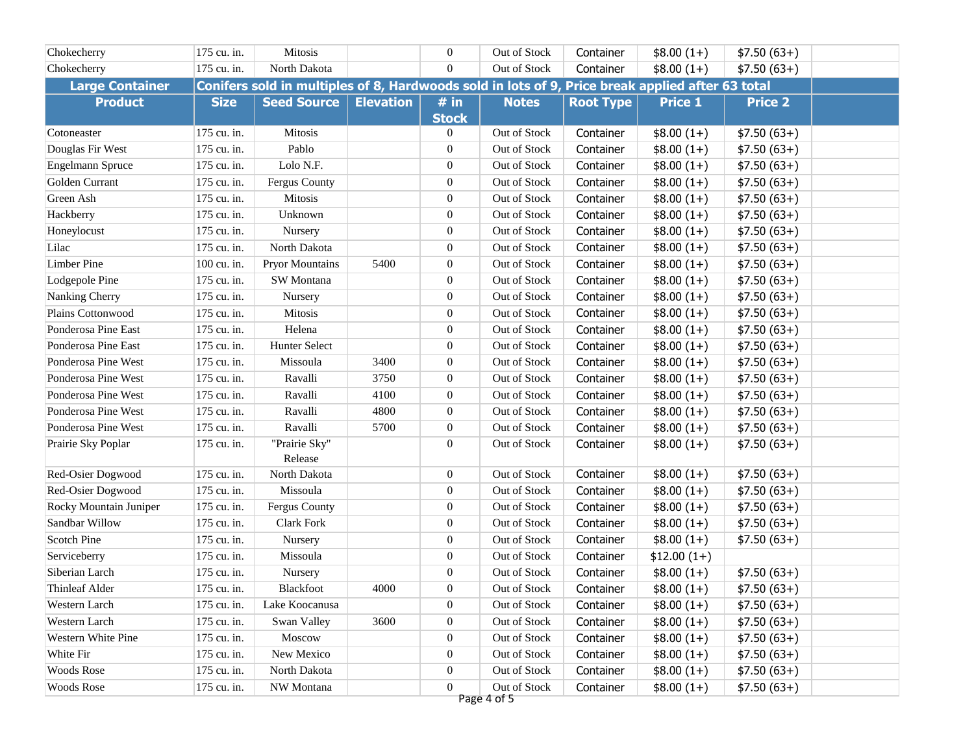| Chokecherry            | 175 cu. in. | Mitosis                                                                                          |                  | $\mathbf{0}$         | Out of Stock | Container        | $$8.00(1+)$  | $$7.50(63+)$   |  |
|------------------------|-------------|--------------------------------------------------------------------------------------------------|------------------|----------------------|--------------|------------------|--------------|----------------|--|
| Chokecherry            | 175 cu. in. | North Dakota                                                                                     |                  | $\overline{0}$       | Out of Stock | Container        | $$8.00(1+)$  | $$7.50(63+)$   |  |
| <b>Large Container</b> |             | Conifers sold in multiples of 8, Hardwoods sold in lots of 9, Price break applied after 63 total |                  |                      |              |                  |              |                |  |
| <b>Product</b>         | <b>Size</b> | <b>Seed Source</b>                                                                               | <b>Elevation</b> | # in<br><b>Stock</b> | <b>Notes</b> | <b>Root Type</b> | Price 1      | <b>Price 2</b> |  |
| Cotoneaster            | 175 cu. in. | Mitosis                                                                                          |                  | $\boldsymbol{0}$     | Out of Stock | Container        | $$8.00(1+)$  | $$7.50(63+)$   |  |
| Douglas Fir West       | 175 cu. in. | Pablo                                                                                            |                  | $\mathbf{0}$         | Out of Stock | Container        | $$8.00(1+)$  | $$7.50(63+)$   |  |
| Engelmann Spruce       | 175 cu. in. | Lolo N.F.                                                                                        |                  | $\boldsymbol{0}$     | Out of Stock | Container        | $$8.00(1+)$  | $$7.50(63+)$   |  |
| Golden Currant         | 175 cu. in. | Fergus County                                                                                    |                  | $\boldsymbol{0}$     | Out of Stock | Container        | $$8.00(1+)$  | $$7.50(63+)$   |  |
| Green Ash              | 175 cu. in. | Mitosis                                                                                          |                  | $\boldsymbol{0}$     | Out of Stock | Container        | $$8.00(1+)$  | $$7.50(63+)$   |  |
| Hackberry              | 175 cu. in. | Unknown                                                                                          |                  | $\boldsymbol{0}$     | Out of Stock | Container        | $$8.00(1+)$  | $$7.50(63+)$   |  |
| Honeylocust            | 175 cu. in. | Nursery                                                                                          |                  | $\boldsymbol{0}$     | Out of Stock | Container        | $$8.00(1+)$  | $$7.50(63+)$   |  |
| Lilac                  | 175 cu. in. | North Dakota                                                                                     |                  | $\theta$             | Out of Stock | Container        | $$8.00(1+)$  | $$7.50(63+)$   |  |
| <b>Limber Pine</b>     | 100 cu. in. | <b>Pryor Mountains</b>                                                                           | 5400             | $\boldsymbol{0}$     | Out of Stock | Container        | $$8.00(1+)$  | $$7.50(63+)$   |  |
| Lodgepole Pine         | 175 cu. in. | SW Montana                                                                                       |                  | $\mathbf{0}$         | Out of Stock | Container        | $$8.00(1+)$  | $$7.50(63+)$   |  |
| Nanking Cherry         | 175 cu. in. | Nursery                                                                                          |                  | $\boldsymbol{0}$     | Out of Stock | Container        | $$8.00(1+)$  | $$7.50(63+)$   |  |
| Plains Cottonwood      | 175 cu. in. | Mitosis                                                                                          |                  | $\boldsymbol{0}$     | Out of Stock | Container        | $$8.00(1+)$  | $$7.50(63+)$   |  |
| Ponderosa Pine East    | 175 cu. in. | Helena                                                                                           |                  | $\boldsymbol{0}$     | Out of Stock | Container        | $$8.00(1+)$  | $$7.50(63+)$   |  |
| Ponderosa Pine East    | 175 cu. in. | Hunter Select                                                                                    |                  | $\boldsymbol{0}$     | Out of Stock | Container        | $$8.00(1+)$  | $$7.50(63+)$   |  |
| Ponderosa Pine West    | 175 cu. in. | Missoula                                                                                         | 3400             | $\mathbf{0}$         | Out of Stock | Container        | $$8.00(1+)$  | $$7.50(63+)$   |  |
| Ponderosa Pine West    | 175 cu. in. | Ravalli                                                                                          | 3750             | $\mathbf{0}$         | Out of Stock | Container        | $$8.00(1+)$  | $$7.50(63+)$   |  |
| Ponderosa Pine West    | 175 cu. in. | Ravalli                                                                                          | 4100             | $\boldsymbol{0}$     | Out of Stock | Container        | $$8.00(1+)$  | $$7.50(63+)$   |  |
| Ponderosa Pine West    | 175 cu. in. | Ravalli                                                                                          | 4800             | $\boldsymbol{0}$     | Out of Stock | Container        | $$8.00(1+)$  | $$7.50(63+)$   |  |
| Ponderosa Pine West    | 175 cu. in. | Ravalli                                                                                          | 5700             | $\mathbf{0}$         | Out of Stock | Container        | $$8.00(1+)$  | $$7.50(63+)$   |  |
| Prairie Sky Poplar     | 175 cu. in. | "Prairie Sky"<br>Release                                                                         |                  | $\boldsymbol{0}$     | Out of Stock | Container        | $$8.00(1+)$  | $$7.50(63+)$   |  |
| Red-Osier Dogwood      | 175 cu. in. | North Dakota                                                                                     |                  | $\mathbf{0}$         | Out of Stock | Container        | $$8.00(1+)$  | $$7.50(63+)$   |  |
| Red-Osier Dogwood      | 175 cu. in. | Missoula                                                                                         |                  | $\boldsymbol{0}$     | Out of Stock | Container        | $$8.00(1+)$  | $$7.50(63+)$   |  |
| Rocky Mountain Juniper | 175 cu. in. | <b>Fergus County</b>                                                                             |                  | $\boldsymbol{0}$     | Out of Stock | Container        | $$8.00(1+)$  | $$7.50(63+)$   |  |
| Sandbar Willow         | 175 cu. in. | <b>Clark Fork</b>                                                                                |                  | $\boldsymbol{0}$     | Out of Stock | Container        | $$8.00(1+)$  | $$7.50(63+)$   |  |
| <b>Scotch Pine</b>     | 175 cu. in. | Nursery                                                                                          |                  | $\mathbf{0}$         | Out of Stock | Container        | $$8.00(1+)$  | $$7.50(63+)$   |  |
| Serviceberry           | 175 cu. in. | Missoula                                                                                         |                  | $\boldsymbol{0}$     | Out of Stock | Container        | $$12.00(1+)$ |                |  |
| Siberian Larch         | 175 cu. in. | Nursery                                                                                          |                  | $\boldsymbol{0}$     | Out of Stock | Container        | $$8.00(1+)$  | $$7.50(63+)$   |  |
| Thinleaf Alder         | 175 cu. in. | Blackfoot                                                                                        | 4000             | $\boldsymbol{0}$     | Out of Stock | Container        | $$8.00(1+)$  | $$7.50(63+)$   |  |
| Western Larch          | 175 cu. in. | Lake Koocanusa                                                                                   |                  | $\boldsymbol{0}$     | Out of Stock | Container        | $$8.00(1+)$  | $$7.50(63+)$   |  |
| Western Larch          | 175 cu. in. | Swan Valley                                                                                      | 3600             | $\overline{0}$       | Out of Stock | Container        | $$8.00(1+)$  | $$7.50(63+)$   |  |
| Western White Pine     | 175 cu. in. | Moscow                                                                                           |                  | $\boldsymbol{0}$     | Out of Stock | Container        | $$8.00(1+)$  | $$7.50(63+)$   |  |
| White Fir              | 175 cu. in. | New Mexico                                                                                       |                  | $\boldsymbol{0}$     | Out of Stock | Container        | $$8.00(1+)$  | $$7.50(63+)$   |  |
| Woods Rose             | 175 cu. in. | North Dakota                                                                                     |                  | $\boldsymbol{0}$     | Out of Stock | Container        | $$8.00(1+)$  | $$7.50(63+)$   |  |
| <b>Woods Rose</b>      | 175 cu. in. | NW Montana                                                                                       |                  | 0                    | Out of Stock | Container        | $$8.00(1+)$  | $$7.50(63+)$   |  |